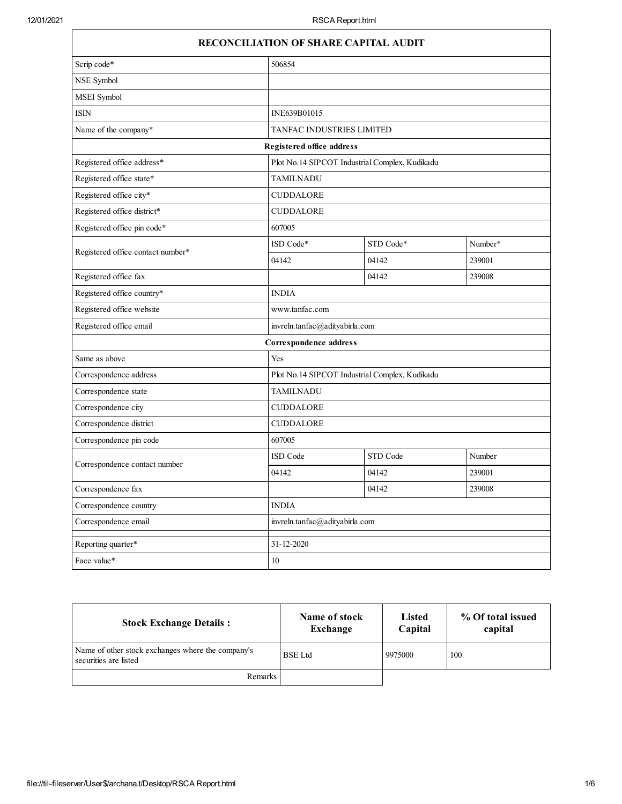|                                   | <b>RECONCILIATION OF SHARE CAPITAL AUDIT</b>   |                                                 |         |  |
|-----------------------------------|------------------------------------------------|-------------------------------------------------|---------|--|
| Scrip code*                       | 506854                                         |                                                 |         |  |
| NSE Symbol                        |                                                |                                                 |         |  |
| MSEI Symbol                       |                                                |                                                 |         |  |
| <b>ISIN</b>                       | INE639B01015                                   |                                                 |         |  |
| Name of the company*              | TANFAC INDUSTRIES LIMITED                      |                                                 |         |  |
|                                   | Registered office address                      |                                                 |         |  |
| Registered office address*        | Plot No.14 SIPCOT Industrial Complex, Kudikadu |                                                 |         |  |
| Registered office state*          | <b>TAMILNADU</b>                               |                                                 |         |  |
| Registered office city*           | <b>CUDDALORE</b>                               |                                                 |         |  |
| Registered office district*       | <b>CUDDALORE</b>                               |                                                 |         |  |
| Registered office pin code*       | 607005                                         |                                                 |         |  |
| Registered office contact number* | ISD Code*                                      | STD Code*                                       | Number* |  |
|                                   | 04142                                          | 04142                                           | 239001  |  |
| Registered office fax             |                                                | 04142                                           | 239008  |  |
| Registered office country*        | <b>INDIA</b>                                   |                                                 |         |  |
| Registered office website         | www.tanfac.com                                 |                                                 |         |  |
| Registered office email           |                                                | invreln.tanfac@adityabirla.com                  |         |  |
|                                   | Correspondence address                         |                                                 |         |  |
| Same as above                     | Yes                                            |                                                 |         |  |
| Correspondence address            |                                                | Plot No. 14 SIPCOT Industrial Complex, Kudikadu |         |  |
| Correspondence state              | <b>TAMILNADU</b>                               |                                                 |         |  |
| Correspondence city               | <b>CUDDALORE</b>                               |                                                 |         |  |
| Correspondence district           | <b>CUDDALORE</b>                               |                                                 |         |  |
| Correspondence pin code           | 607005                                         |                                                 |         |  |
|                                   | ISD Code                                       | STD Code                                        | Number  |  |
| Correspondence contact number     | 04142                                          | 04142                                           | 239001  |  |
| Correspondence fax                |                                                | 04142                                           | 239008  |  |
| Correspondence country            | <b>INDIA</b>                                   |                                                 |         |  |
| Correspondence email              |                                                | invreln.tanfac@adityabirla.com                  |         |  |
| Reporting quarter*                | 31-12-2020                                     |                                                 |         |  |
| Face value*                       | 10                                             |                                                 |         |  |

| <b>Stock Exchange Details:</b>                                             | Name of stock<br>Exchange | <b>Listed</b><br>Capital | % Of total issued<br>capital |
|----------------------------------------------------------------------------|---------------------------|--------------------------|------------------------------|
| Name of other stock exchanges where the company's<br>securities are listed | <b>BSE</b> Ltd            | 9975000                  | 100                          |
| <b>Remarks</b>                                                             |                           |                          |                              |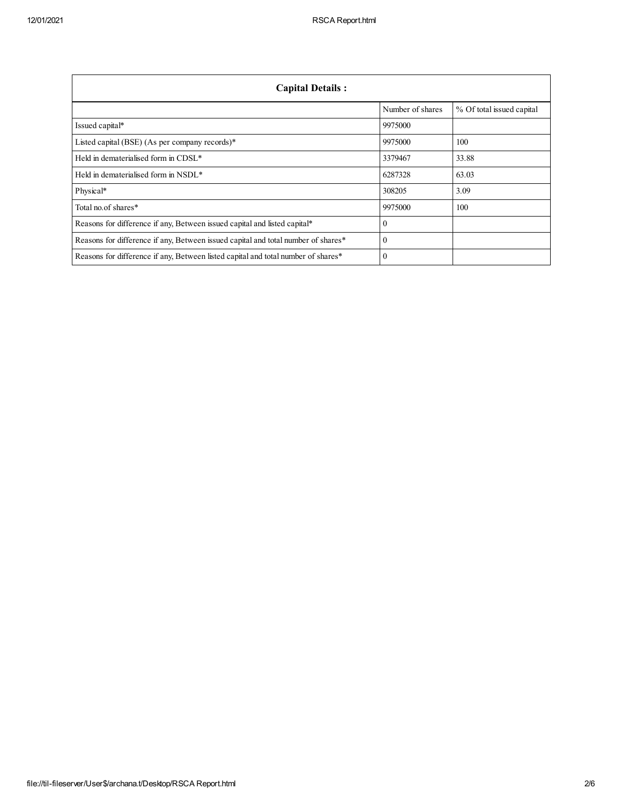| <b>Capital Details:</b>                                                           |                  |                           |
|-----------------------------------------------------------------------------------|------------------|---------------------------|
|                                                                                   | Number of shares | % Of total issued capital |
| Issued capital*                                                                   | 9975000          |                           |
| Listed capital (BSE) (As per company records)*                                    | 9975000          | 100                       |
| Held in dematerialised form in CDSL*                                              | 3379467          | 33.88                     |
| Held in dematerialised form in NSDL*                                              | 6287328          | 63.03                     |
| Physical*                                                                         | 308205           | 3.09                      |
| Total no of shares*                                                               | 9975000          | 100                       |
| Reasons for difference if any, Between issued capital and listed capital*         | $\Omega$         |                           |
| Reasons for difference if any, Between issued capital and total number of shares* | $\Omega$         |                           |
| Reasons for difference if any, Between listed capital and total number of shares* | $\Omega$         |                           |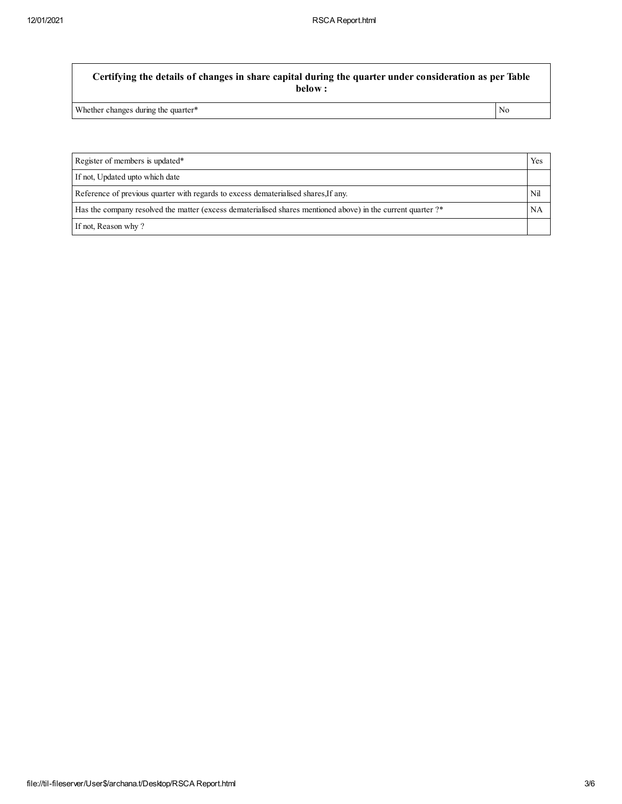**Certifying the details of changes in share capital during the quarter under consideration as per Table below :**

Whether changes during the quarter\* No

Register of members is updated\* Yes If not, Updated upto which date Reference of previous quarter with regards to excess dematerialised shares,If any. Nil Has the company resolved the matter (excess dematerialised shares mentioned above) in the current quarter ?\* NA If not, Reason why ?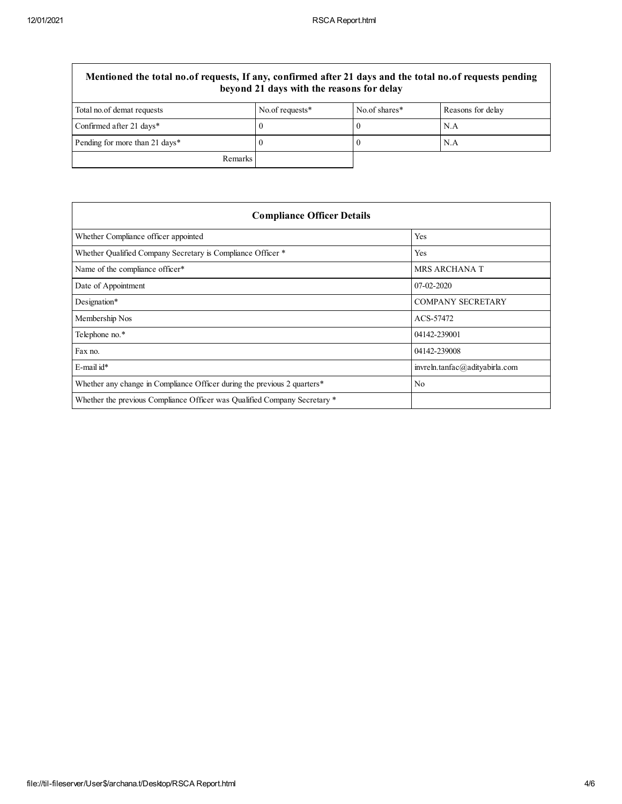| Mentioned the total no.of requests, If any, confirmed after 21 days and the total no.of requests pending<br>beyond 21 days with the reasons for delay |                 |               |                   |
|-------------------------------------------------------------------------------------------------------------------------------------------------------|-----------------|---------------|-------------------|
| Total no. of demat requests                                                                                                                           | No.of requests* | No.of shares* | Reasons for delay |
| Confirmed after 21 days*                                                                                                                              |                 |               | N.A               |
| Pending for more than 21 days*                                                                                                                        |                 |               | N.A               |
| <b>Remarks</b>                                                                                                                                        |                 |               |                   |

| <b>Compliance Officer Details</b>                                         |                                |  |
|---------------------------------------------------------------------------|--------------------------------|--|
| Whether Compliance officer appointed                                      | Yes                            |  |
| Whether Qualified Company Secretary is Compliance Officer *               | Yes                            |  |
| Name of the compliance officer*                                           | <b>MRS ARCHANA T</b>           |  |
| Date of Appointment                                                       | $07-02-2020$                   |  |
| Designation*                                                              | <b>COMPANY SECRETARY</b>       |  |
| Membership Nos                                                            | ACS-57472                      |  |
| Telephone no.*                                                            | 04142-239001                   |  |
| Fax no.                                                                   | 04142-239008                   |  |
| $E$ -mail id*                                                             | invreln.tanfac@adityabirla.com |  |
| Whether any change in Compliance Officer during the previous 2 quarters*  | N <sub>0</sub>                 |  |
| Whether the previous Compliance Officer was Qualified Company Secretary * |                                |  |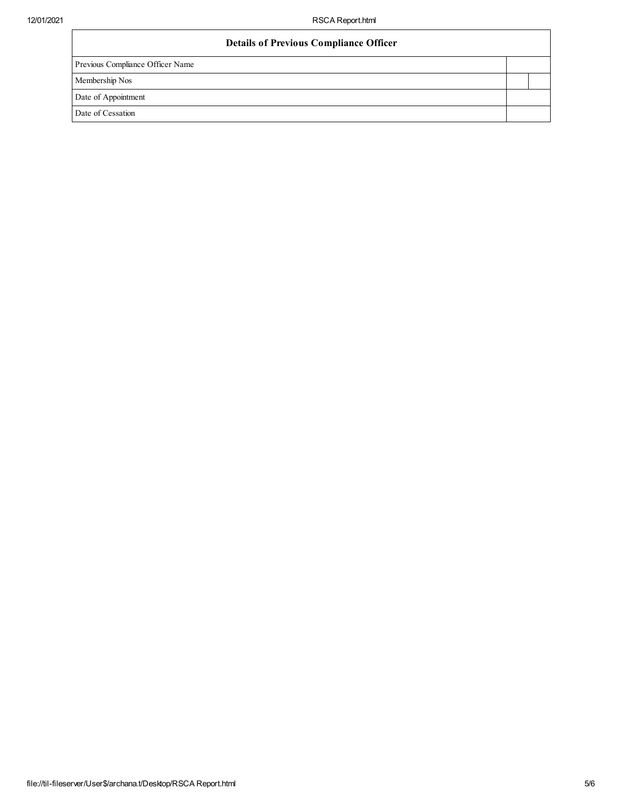| <b>Details of Previous Compliance Officer</b> |  |
|-----------------------------------------------|--|
| Previous Compliance Officer Name              |  |
| Membership Nos                                |  |
| Date of Appointment                           |  |
| Date of Cessation                             |  |